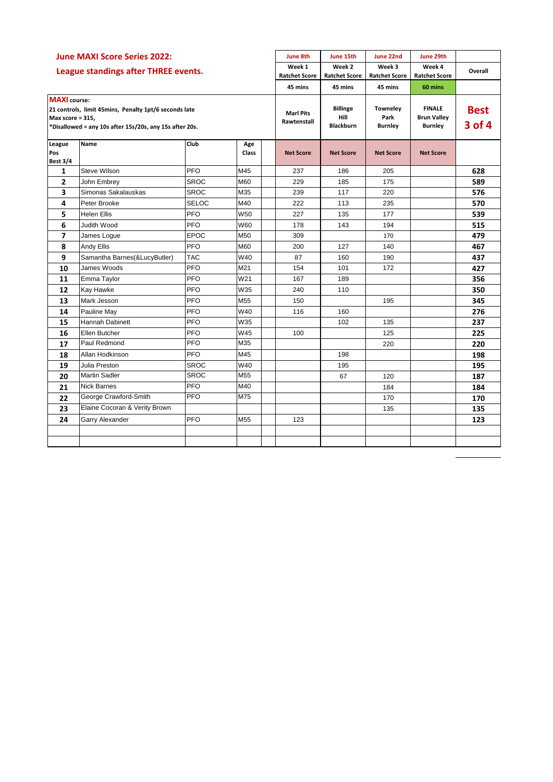| <b>June MAXI Score Series 2022:</b><br>League standings after THREE events.                                                                                 |                               |              |                     | <b>June 8th</b>                 | June 15th                                   | June 22nd                                 | June 29th                                             |                       |
|-------------------------------------------------------------------------------------------------------------------------------------------------------------|-------------------------------|--------------|---------------------|---------------------------------|---------------------------------------------|-------------------------------------------|-------------------------------------------------------|-----------------------|
|                                                                                                                                                             |                               |              |                     | Week 1<br><b>Ratchet Score</b>  | Week 2<br><b>Ratchet Score</b>              | Week 3<br><b>Ratchet Score</b>            | Week 4<br><b>Ratchet Score</b>                        | Overall               |
|                                                                                                                                                             |                               |              |                     | 45 mins                         | 45 mins                                     | 45 mins                                   | 60 mins                                               |                       |
| <b>MAXI</b> course:<br>21 controls, limit 45mins, Penalty 1pt/6 seconds late<br>Max score = 315,<br>*Disallowed = any 10s after 15s/20s, any 15s after 20s. |                               |              |                     | <b>Marl Pits</b><br>Rawtenstall | <b>Billinge</b><br>Hill<br><b>Blackburn</b> | <b>Towneley</b><br>Park<br><b>Burnley</b> | <b>FINALE</b><br><b>Brun Valley</b><br><b>Burnley</b> | <b>Best</b><br>3 of 4 |
| League<br>Pos<br><b>Best 3/4</b>                                                                                                                            | Name                          | Club         | Age<br><b>Class</b> | <b>Net Score</b>                | <b>Net Score</b>                            | <b>Net Score</b>                          | <b>Net Score</b>                                      |                       |
| 1                                                                                                                                                           | Steve Wilson                  | PFO          | M45                 | 237                             | 186                                         | 205                                       |                                                       | 628                   |
| 2                                                                                                                                                           | John Embrey                   | <b>SROC</b>  | M60                 | 229                             | 185                                         | 175                                       |                                                       | 589                   |
| 3                                                                                                                                                           | Simonas Sakalauskas           | <b>SROC</b>  | M35                 | 239                             | 117                                         | 220                                       |                                                       | 576                   |
| 4                                                                                                                                                           | Peter Brooke                  | <b>SELOC</b> | M40                 | 222                             | 113                                         | 235                                       |                                                       | 570                   |
| 5                                                                                                                                                           | <b>Helen Ellis</b>            | PFO          | W50                 | 227                             | 135                                         | 177                                       |                                                       | 539                   |
| 6                                                                                                                                                           | Judith Wood                   | PFO          | W60                 | 178                             | 143                                         | 194                                       |                                                       | 515                   |
| 7                                                                                                                                                           | James Logue                   | <b>EPOC</b>  | M50                 | 309                             |                                             | 170                                       |                                                       | 479                   |
| 8                                                                                                                                                           | Andy Ellis                    | <b>PFO</b>   | M60                 | 200                             | 127                                         | 140                                       |                                                       | 467                   |
| 9                                                                                                                                                           | Samantha Barnes(&LucyButler)  | <b>TAC</b>   | W40                 | 87                              | 160                                         | 190                                       |                                                       | 437                   |
| 10                                                                                                                                                          | James Woods                   | PFO          | M21                 | 154                             | 101                                         | 172                                       |                                                       | 427                   |
| 11                                                                                                                                                          | Emma Taylor                   | PFO          | W21                 | 167                             | 189                                         |                                           |                                                       | 356                   |
| 12                                                                                                                                                          | Kay Hawke                     | PFO          | W35                 | 240                             | 110                                         |                                           |                                                       | 350                   |
| 13                                                                                                                                                          | Mark Jesson                   | PFO          | M55                 | 150                             |                                             | 195                                       |                                                       | 345                   |
| 14                                                                                                                                                          | Pauline May                   | PFO          | W40                 | 116                             | 160                                         |                                           |                                                       | 276                   |
| 15                                                                                                                                                          | Hannah Dabinett               | <b>PFO</b>   | W35                 |                                 | 102                                         | 135                                       |                                                       | 237                   |
| 16                                                                                                                                                          | Ellen Butcher                 | PFO          | W45                 | 100                             |                                             | 125                                       |                                                       | 225                   |
| 17                                                                                                                                                          | Paul Redmond                  | PFO          | M35                 |                                 |                                             | 220                                       |                                                       | 220                   |
| 18                                                                                                                                                          | Allan Hodkinson               | <b>PFO</b>   | M45                 |                                 | 198                                         |                                           |                                                       | 198                   |
| 19                                                                                                                                                          | Julia Preston                 | SROC         | W40                 |                                 | 195                                         |                                           |                                                       | 195                   |
| 20                                                                                                                                                          | <b>Martin Sadler</b>          | <b>SROC</b>  | M <sub>55</sub>     |                                 | 67                                          | 120                                       |                                                       | 187                   |
| 21                                                                                                                                                          | <b>Nick Barnes</b>            | PFO          | M40                 |                                 |                                             | 184                                       |                                                       | 184                   |
| 22                                                                                                                                                          | George Crawford-Smith         | PFO          | M75                 |                                 |                                             | 170                                       |                                                       | 170                   |
| 23                                                                                                                                                          | Elaine Cocoran & Verity Brown |              |                     |                                 |                                             | 135                                       |                                                       | 135                   |
| 24                                                                                                                                                          | <b>Garry Alexander</b>        | PFO          | M <sub>55</sub>     | 123                             |                                             |                                           |                                                       | 123                   |
|                                                                                                                                                             |                               |              |                     |                                 |                                             |                                           |                                                       |                       |
|                                                                                                                                                             |                               |              |                     |                                 |                                             |                                           |                                                       |                       |